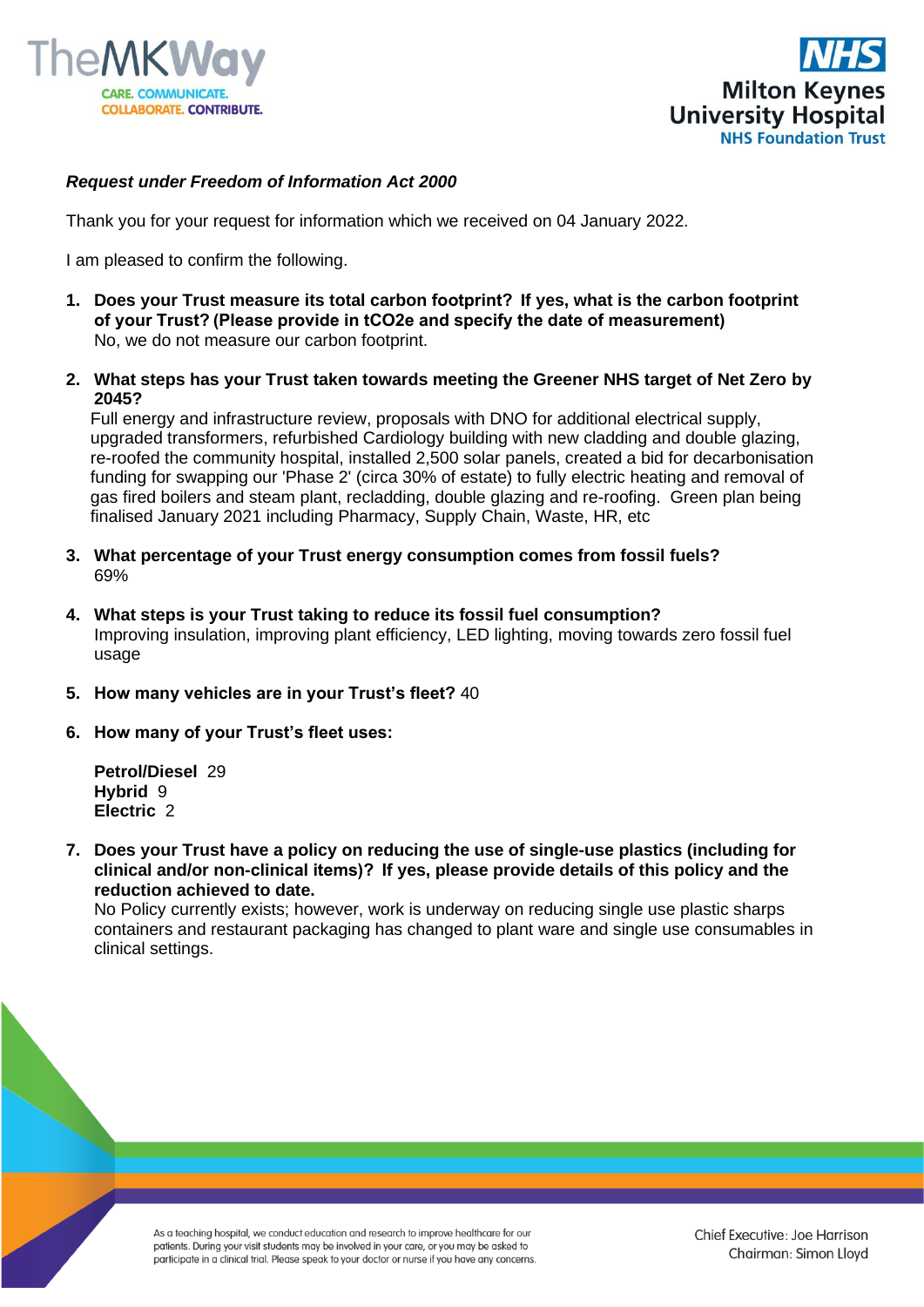



## *Request under Freedom of Information Act 2000*

Thank you for your request for information which we received on 04 January 2022.

I am pleased to confirm the following.

- **1. Does your Trust measure its total carbon footprint?  If yes, what is the carbon footprint of your Trust? (Please provide in tCO2e and specify the date of measurement)** No, we do not measure our carbon footprint.
- **2. What steps has your Trust taken towards meeting the Greener NHS target of Net Zero by 2045?**

Full energy and infrastructure review, proposals with DNO for additional electrical supply, upgraded transformers, refurbished Cardiology building with new cladding and double glazing, re-roofed the community hospital, installed 2,500 solar panels, created a bid for decarbonisation funding for swapping our 'Phase 2' (circa 30% of estate) to fully electric heating and removal of gas fired boilers and steam plant, recladding, double glazing and re-roofing. Green plan being finalised January 2021 including Pharmacy, Supply Chain, Waste, HR, etc

- **3. What percentage of your Trust energy consumption comes from fossil fuels?** 69%
- **4. What steps is your Trust taking to reduce its fossil fuel consumption?** Improving insulation, improving plant efficiency, LED lighting, moving towards zero fossil fuel usage
- **5. How many vehicles are in your Trust's fleet?** 40
- **6. How many of your Trust's fleet uses:**

**Petrol/Diesel** 29 **Hybrid** 9 **Electric** 2

**7. Does your Trust have a policy on reducing the use of single-use plastics (including for clinical and/or non-clinical items)?  If yes, please provide details of this policy and the reduction achieved to date.**

No Policy currently exists; however, work is underway on reducing single use plastic sharps containers and restaurant packaging has changed to plant ware and single use consumables in clinical settings.

As a teaching hospital, we conduct education and research to improve healthcare for our patients. During your visit students may be involved in your care, or you may be asked to participate in a clinical trial. Please speak to your doctor or nurse if you have any concerns.